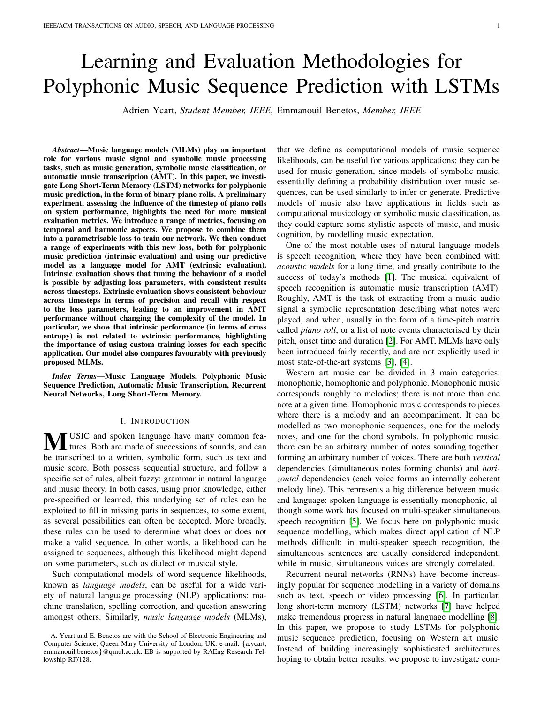# Learning and Evaluation Methodologies for Polyphonic Music Sequence Prediction with LSTMs

Adrien Ycart, *Student Member, IEEE,* Emmanouil Benetos, *Member, IEEE*

*Abstract*—Music language models (MLMs) play an important role for various music signal and symbolic music processing tasks, such as music generation, symbolic music classification, or automatic music transcription (AMT). In this paper, we investigate Long Short-Term Memory (LSTM) networks for polyphonic music prediction, in the form of binary piano rolls. A preliminary experiment, assessing the influence of the timestep of piano rolls on system performance, highlights the need for more musical evaluation metrics. We introduce a range of metrics, focusing on temporal and harmonic aspects. We propose to combine them into a parametrisable loss to train our network. We then conduct a range of experiments with this new loss, both for polyphonic music prediction (intrinsic evaluation) and using our predictive model as a language model for AMT (extrinsic evaluation). Intrinsic evaluation shows that tuning the behaviour of a model is possible by adjusting loss parameters, with consistent results across timesteps. Extrinsic evaluation shows consistent behaviour across timesteps in terms of precision and recall with respect to the loss parameters, leading to an improvement in AMT performance without changing the complexity of the model. In particular, we show that intrinsic performance (in terms of cross entropy) is not related to extrinsic performance, highlighting the importance of using custom training losses for each specific application. Our model also compares favourably with previously proposed MLMs.

*Index Terms*—Music Language Models, Polyphonic Music Sequence Prediction, Automatic Music Transcription, Recurrent Neural Networks, Long Short-Term Memory.

#### I. INTRODUCTION

**MUSIC** and spoken language have many common fea-<br>tures. Both are made of successions of sounds, and can be transcribed to a written, symbolic form, such as text and music score. Both possess sequential structure, and follow a specific set of rules, albeit fuzzy: grammar in natural language and music theory. In both cases, using prior knowledge, either pre-specified or learned, this underlying set of rules can be exploited to fill in missing parts in sequences, to some extent, as several possibilities can often be accepted. More broadly, these rules can be used to determine what does or does not make a valid sequence. In other words, a likelihood can be assigned to sequences, although this likelihood might depend on some parameters, such as dialect or musical style.

Such computational models of word sequence likelihoods, known as *language models*, can be useful for a wide variety of natural language processing (NLP) applications: machine translation, spelling correction, and question answering amongst others. Similarly, *music language models* (MLMs), that we define as computational models of music sequence likelihoods, can be useful for various applications: they can be used for music generation, since models of symbolic music, essentially defining a probability distribution over music sequences, can be used similarly to infer or generate. Predictive models of music also have applications in fields such as computational musicology or symbolic music classification, as they could capture some stylistic aspects of music, and music cognition, by modelling music expectation.

One of the most notable uses of natural language models is speech recognition, where they have been combined with *acoustic models* for a long time, and greatly contribute to the success of today's methods [\[1\]](#page-13-0). The musical equivalent of speech recognition is automatic music transcription (AMT). Roughly, AMT is the task of extracting from a music audio signal a symbolic representation describing what notes were played, and when, usually in the form of a time-pitch matrix called *piano roll*, or a list of note events characterised by their pitch, onset time and duration [\[2\]](#page-13-1). For AMT, MLMs have only been introduced fairly recently, and are not explicitly used in most state-of-the-art systems [\[3\]](#page-13-2), [\[4\]](#page-13-3).

Western art music can be divided in 3 main categories: monophonic, homophonic and polyphonic. Monophonic music corresponds roughly to melodies; there is not more than one note at a given time. Homophonic music corresponds to pieces where there is a melody and an accompaniment. It can be modelled as two monophonic sequences, one for the melody notes, and one for the chord symbols. In polyphonic music, there can be an arbitrary number of notes sounding together, forming an arbitrary number of voices. There are both *vertical* dependencies (simultaneous notes forming chords) and *horizontal* dependencies (each voice forms an internally coherent melody line). This represents a big difference between music and language: spoken language is essentially monophonic, although some work has focused on multi-speaker simultaneous speech recognition [\[5\]](#page-13-4). We focus here on polyphonic music sequence modelling, which makes direct application of NLP methods difficult: in multi-speaker speech recognition, the simultaneous sentences are usually considered independent, while in music, simultaneous voices are strongly correlated.

Recurrent neural networks (RNNs) have become increasingly popular for sequence modelling in a variety of domains such as text, speech or video processing [\[6\]](#page-13-5). In particular, long short-term memory (LSTM) networks [\[7\]](#page-13-6) have helped make tremendous progress in natural language modelling [\[8\]](#page-13-7). In this paper, we propose to study LSTMs for polyphonic music sequence prediction, focusing on Western art music. Instead of building increasingly sophisticated architectures hoping to obtain better results, we propose to investigate com-

A. Ycart and E. Benetos are with the School of Electronic Engineering and Computer Science, Queen Mary University of London, UK. e-mail: {a.ycart, emmanouil.benetos}@qmul.ac.uk. EB is supported by RAEng Research Fellowship RF/128.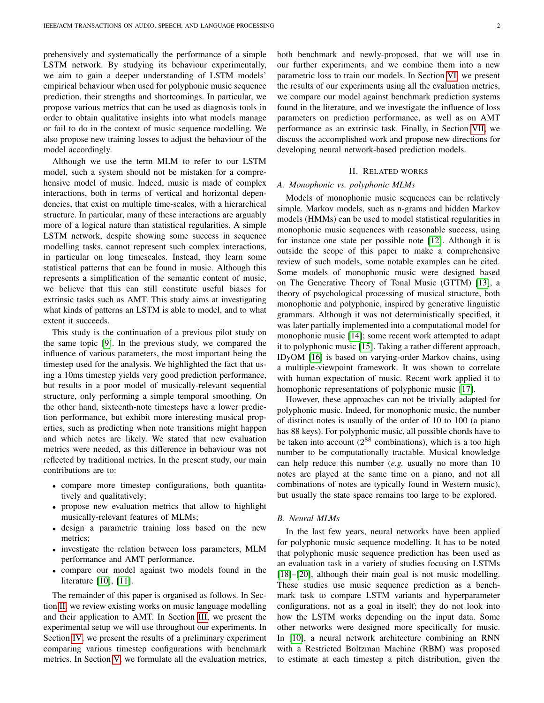prehensively and systematically the performance of a simple LSTM network. By studying its behaviour experimentally, we aim to gain a deeper understanding of LSTM models' empirical behaviour when used for polyphonic music sequence prediction, their strengths and shortcomings. In particular, we propose various metrics that can be used as diagnosis tools in order to obtain qualitative insights into what models manage or fail to do in the context of music sequence modelling. We also propose new training losses to adjust the behaviour of the model accordingly.

Although we use the term MLM to refer to our LSTM model, such a system should not be mistaken for a comprehensive model of music. Indeed, music is made of complex interactions, both in terms of vertical and horizontal dependencies, that exist on multiple time-scales, with a hierarchical structure. In particular, many of these interactions are arguably more of a logical nature than statistical regularities. A simple LSTM network, despite showing some success in sequence modelling tasks, cannot represent such complex interactions, in particular on long timescales. Instead, they learn some statistical patterns that can be found in music. Although this represents a simplification of the semantic content of music, we believe that this can still constitute useful biases for extrinsic tasks such as AMT. This study aims at investigating what kinds of patterns an LSTM is able to model, and to what extent it succeeds.

This study is the continuation of a previous pilot study on the same topic [\[9\]](#page-13-8). In the previous study, we compared the influence of various parameters, the most important being the timestep used for the analysis. We highlighted the fact that using a 10ms timestep yields very good prediction performance, but results in a poor model of musically-relevant sequential structure, only performing a simple temporal smoothing. On the other hand, sixteenth-note timesteps have a lower prediction performance, but exhibit more interesting musical properties, such as predicting when note transitions might happen and which notes are likely. We stated that new evaluation metrics were needed, as this difference in behaviour was not reflected by traditional metrics. In the present study, our main contributions are to:

- compare more timestep configurations, both quantitatively and qualitatively;
- propose new evaluation metrics that allow to highlight musically-relevant features of MLMs;
- design a parametric training loss based on the new metrics;
- investigate the relation between loss parameters, MLM performance and AMT performance.
- compare our model against two models found in the literature [\[10\]](#page-13-9), [\[11\]](#page-13-10).

The remainder of this paper is organised as follows. In Section [II,](#page-1-0) we review existing works on music language modelling and their application to AMT. In Section [III,](#page-3-0) we present the experimental setup we will use throughout our experiments. In Section [IV,](#page-4-0) we present the results of a preliminary experiment comparing various timestep configurations with benchmark metrics. In Section [V,](#page-5-0) we formulate all the evaluation metrics, both benchmark and newly-proposed, that we will use in our further experiments, and we combine them into a new parametric loss to train our models. In Section [VI,](#page-8-0) we present the results of our experiments using all the evaluation metrics, we compare our model against benchmark prediction systems found in the literature, and we investigate the influence of loss parameters on prediction performance, as well as on AMT performance as an extrinsic task. Finally, in Section [VII,](#page-12-0) we discuss the accomplished work and propose new directions for developing neural network-based prediction models.

## II. RELATED WORKS

## <span id="page-1-0"></span>*A. Monophonic vs. polyphonic MLMs*

Models of monophonic music sequences can be relatively simple. Markov models, such as n-grams and hidden Markov models (HMMs) can be used to model statistical regularities in monophonic music sequences with reasonable success, using for instance one state per possible note [\[12\]](#page-13-11). Although it is outside the scope of this paper to make a comprehensive review of such models, some notable examples can be cited. Some models of monophonic music were designed based on The Generative Theory of Tonal Music (GTTM) [\[13\]](#page-13-12), a theory of psychological processing of musical structure, both monophonic and polyphonic, inspired by generative linguistic grammars. Although it was not deterministically specified, it was later partially implemented into a computational model for monophonic music [\[14\]](#page-13-13); some recent work attempted to adapt it to polyphonic music [\[15\]](#page-13-14). Taking a rather different approach, IDyOM [\[16\]](#page-13-15) is based on varying-order Markov chains, using a multiple-viewpoint framework. It was shown to correlate with human expectation of music. Recent work applied it to homophonic representations of polyphonic music [\[17\]](#page-13-16).

However, these approaches can not be trivially adapted for polyphonic music. Indeed, for monophonic music, the number of distinct notes is usually of the order of 10 to 100 (a piano has 88 keys). For polyphonic music, all possible chords have to be taken into account  $(2^{88}$  combinations), which is a too high number to be computationally tractable. Musical knowledge can help reduce this number (*e.g.* usually no more than 10 notes are played at the same time on a piano, and not all combinations of notes are typically found in Western music), but usually the state space remains too large to be explored.

# *B. Neural MLMs*

In the last few years, neural networks have been applied for polyphonic music sequence modelling. It has to be noted that polyphonic music sequence prediction has been used as an evaluation task in a variety of studies focusing on LSTMs [\[18\]](#page-13-17)–[\[20\]](#page-13-18), although their main goal is not music modelling. These studies use music sequence prediction as a benchmark task to compare LSTM variants and hyperparameter configurations, not as a goal in itself; they do not look into how the LSTM works depending on the input data. Some other networks were designed more specifically for music. In [\[10\]](#page-13-9), a neural network architecture combining an RNN with a Restricted Boltzman Machine (RBM) was proposed to estimate at each timestep a pitch distribution, given the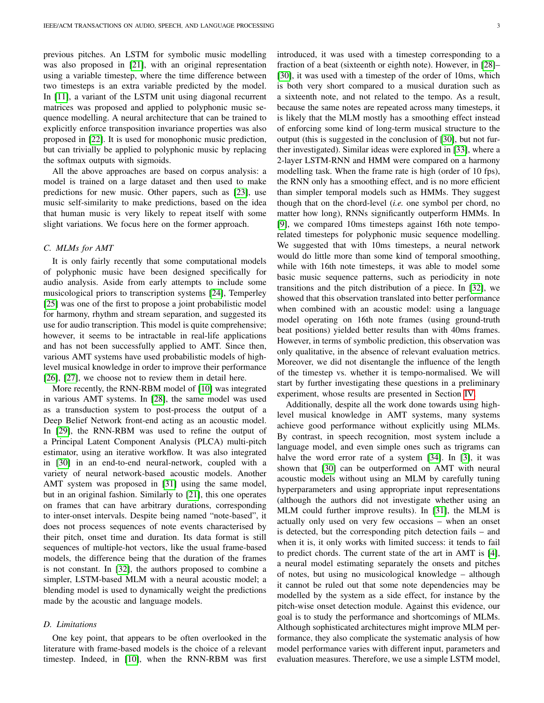previous pitches. An LSTM for symbolic music modelling was also proposed in [\[21\]](#page-13-19), with an original representation using a variable timestep, where the time difference between two timesteps is an extra variable predicted by the model. In [\[11\]](#page-13-10), a variant of the LSTM unit using diagonal recurrent matrices was proposed and applied to polyphonic music sequence modelling. A neural architecture that can be trained to explicitly enforce transposition invariance properties was also proposed in [\[22\]](#page-13-20). It is used for monophonic music prediction, but can trivially be applied to polyphonic music by replacing the softmax outputs with sigmoids.

All the above approaches are based on corpus analysis: a model is trained on a large dataset and then used to make predictions for new music. Other papers, such as [\[23\]](#page-13-21), use music self-similarity to make predictions, based on the idea that human music is very likely to repeat itself with some slight variations. We focus here on the former approach.

# *C. MLMs for AMT*

It is only fairly recently that some computational models of polyphonic music have been designed specifically for audio analysis. Aside from early attempts to include some musicological priors to transcription systems [\[24\]](#page-13-22), Temperley [\[25\]](#page-13-23) was one of the first to propose a joint probabilistic model for harmony, rhythm and stream separation, and suggested its use for audio transcription. This model is quite comprehensive; however, it seems to be intractable in real-life applications and has not been successfully applied to AMT. Since then, various AMT systems have used probabilistic models of highlevel musical knowledge in order to improve their performance [\[26\]](#page-13-24), [\[27\]](#page-13-25), we choose not to review them in detail here.

More recently, the RNN-RBM model of [\[10\]](#page-13-9) was integrated in various AMT systems. In [\[28\]](#page-13-26), the same model was used as a transduction system to post-process the output of a Deep Belief Network front-end acting as an acoustic model. In [\[29\]](#page-13-27), the RNN-RBM was used to refine the output of a Principal Latent Component Analysis (PLCA) multi-pitch estimator, using an iterative workflow. It was also integrated in [\[30\]](#page-13-28) in an end-to-end neural-network, coupled with a variety of neural network-based acoustic models. Another AMT system was proposed in [\[31\]](#page-13-29) using the same model, but in an original fashion. Similarly to [\[21\]](#page-13-19), this one operates on frames that can have arbitrary durations, corresponding to inter-onset intervals. Despite being named "note-based", it does not process sequences of note events characterised by their pitch, onset time and duration. Its data format is still sequences of multiple-hot vectors, like the usual frame-based models, the difference being that the duration of the frames is not constant. In [\[32\]](#page-13-30), the authors proposed to combine a simpler, LSTM-based MLM with a neural acoustic model; a blending model is used to dynamically weight the predictions made by the acoustic and language models.

### *D. Limitations*

One key point, that appears to be often overlooked in the literature with frame-based models is the choice of a relevant timestep. Indeed, in [\[10\]](#page-13-9), when the RNN-RBM was first introduced, it was used with a timestep corresponding to a fraction of a beat (sixteenth or eighth note). However, in [\[28\]](#page-13-26)– [\[30\]](#page-13-28), it was used with a timestep of the order of 10ms, which is both very short compared to a musical duration such as a sixteenth note, and not related to the tempo. As a result, because the same notes are repeated across many timesteps, it is likely that the MLM mostly has a smoothing effect instead of enforcing some kind of long-term musical structure to the output (this is suggested in the conclusion of [\[30\]](#page-13-28), but not further investigated). Similar ideas were explored in [\[33\]](#page-13-31), where a 2-layer LSTM-RNN and HMM were compared on a harmony modelling task. When the frame rate is high (order of 10 fps), the RNN only has a smoothing effect, and is no more efficient than simpler temporal models such as HMMs. They suggest though that on the chord-level (*i.e.* one symbol per chord, no matter how long), RNNs significantly outperform HMMs. In [\[9\]](#page-13-8), we compared 10ms timesteps against 16th note temporelated timesteps for polyphonic music sequence modelling. We suggested that with 10ms timesteps, a neural network would do little more than some kind of temporal smoothing, while with 16th note timesteps, it was able to model some basic music sequence patterns, such as periodicity in note transitions and the pitch distribution of a piece. In [\[32\]](#page-13-30), we showed that this observation translated into better performance when combined with an acoustic model: using a language model operating on 16th note frames (using ground-truth beat positions) yielded better results than with 40ms frames. However, in terms of symbolic prediction, this observation was only qualitative, in the absence of relevant evaluation metrics. Moreover, we did not disentangle the influence of the length of the timestep vs. whether it is tempo-normalised. We will start by further investigating these questions in a preliminary experiment, whose results are presented in Section [IV.](#page-4-0)

Additionally, despite all the work done towards using highlevel musical knowledge in AMT systems, many systems achieve good performance without explicitly using MLMs. By contrast, in speech recognition, most system include a language model, and even simple ones such as trigrams can halve the word error rate of a system [\[34\]](#page-13-32). In [\[3\]](#page-13-2), it was shown that [\[30\]](#page-13-28) can be outperformed on AMT with neural acoustic models without using an MLM by carefully tuning hyperparameters and using appropriate input representations (although the authors did not investigate whether using an MLM could further improve results). In [\[31\]](#page-13-29), the MLM is actually only used on very few occasions – when an onset is detected, but the corresponding pitch detection fails – and when it is, it only works with limited success: it tends to fail to predict chords. The current state of the art in AMT is [\[4\]](#page-13-3), a neural model estimating separately the onsets and pitches of notes, but using no musicological knowledge – although it cannot be ruled out that some note dependencies may be modelled by the system as a side effect, for instance by the pitch-wise onset detection module. Against this evidence, our goal is to study the performance and shortcomings of MLMs. Although sophisticated architectures might improve MLM performance, they also complicate the systematic analysis of how model performance varies with different input, parameters and evaluation measures. Therefore, we use a simple LSTM model,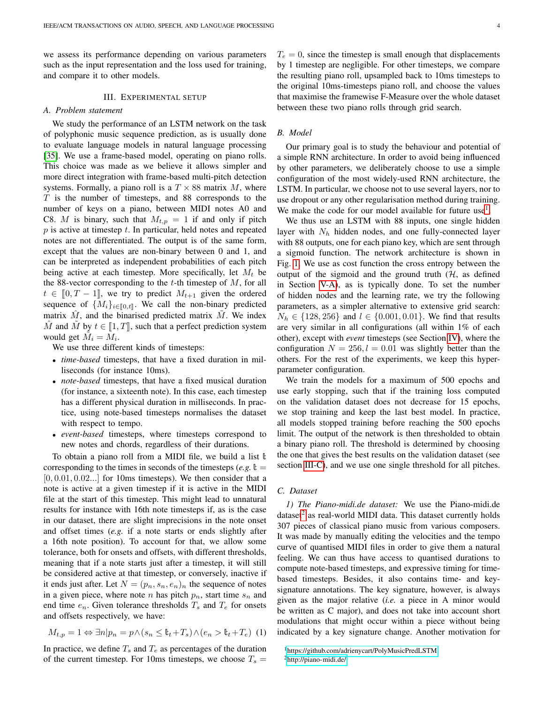we assess its performance depending on various parameters such as the input representation and the loss used for training, and compare it to other models.

## III. EXPERIMENTAL SETUP

### <span id="page-3-0"></span>*A. Problem statement*

We study the performance of an LSTM network on the task of polyphonic music sequence prediction, as is usually done to evaluate language models in natural language processing [\[35\]](#page-13-33). We use a frame-based model, operating on piano rolls. This choice was made as we believe it allows simpler and more direct integration with frame-based multi-pitch detection systems. Formally, a piano roll is a  $T \times 88$  matrix M, where  $T$  is the number of timesteps, and 88 corresponds to the number of keys on a piano, between MIDI notes A0 and C8. M is binary, such that  $M_{t,p} = 1$  if and only if pitch  $p$  is active at timestep  $t$ . In particular, held notes and repeated notes are not differentiated. The output is of the same form, except that the values are non-binary between 0 and 1, and can be interpreted as independent probabilities of each pitch being active at each timestep. More specifically, let  $M_t$  be the 88-vector corresponding to the t-th timestep of  $M$ , for all  $t \in [0, T - 1]$ , we try to predict  $M_{t+1}$  given the ordered sequence of  $\{M_i\}_{i\in\llbracket 0,t\rrbracket}$ . We call the non-binary predicted matrix  $M$ , and the binarised predicted matrix  $M$ . We index  $\hat{M}$  and  $\hat{M}$  by  $t \in [1, T]$ , such that a perfect prediction system would get  $\tilde{M}_i = \tilde{M}_i$ .

We use three different kinds of timesteps:

- *time-based* timesteps, that have a fixed duration in milliseconds (for instance 10ms).
- *note-based* timesteps, that have a fixed musical duration (for instance, a sixteenth note). In this case, each timestep has a different physical duration in milliseconds. In practice, using note-based timesteps normalises the dataset with respect to tempo.
- *event-based* timesteps, where timesteps correspond to new notes and chords, regardless of their durations.

To obtain a piano roll from a MIDI file, we build a list  $\mathbb {t}$ corresponding to the times in seconds of the timesteps (*e.g.*  $\mathbb{t} =$  $[0, 0.01, 0.02...]$  for 10ms timesteps). We then consider that a note is active at a given timestep if it is active in the MIDI file at the start of this timestep. This might lead to unnatural results for instance with 16th note timesteps if, as is the case in our dataset, there are slight imprecisions in the note onset and offset times (*e.g.* if a note starts or ends slightly after a 16th note position). To account for that, we allow some tolerance, both for onsets and offsets, with different thresholds, meaning that if a note starts just after a timestep, it will still be considered active at that timestep, or conversely, inactive if it ends just after. Let  $N = (p_n, s_n, e_n)_n$  the sequence of notes in a given piece, where note n has pitch  $p_n$ , start time  $s_n$  and end time  $e_n$ . Given tolerance thresholds  $T_s$  and  $T_e$  for onsets and offsets respectively, we have:

$$
M_{t,p} = 1 \Leftrightarrow \exists n | p_n = p \land (s_n \leq \mathbb{t}_t + T_s) \land (e_n > \mathbb{t}_t + T_e)
$$
 (1)

In practice, we define  $T_s$  and  $T_e$  as percentages of the duration of the current timestep. For 10ms timesteps, we choose  $T_s =$ 

 $T_e = 0$ , since the timestep is small enough that displacements by 1 timestep are negligible. For other timesteps, we compare the resulting piano roll, upsampled back to 10ms timesteps to the original 10ms-timesteps piano roll, and choose the values that maximise the framewise F-Measure over the whole dataset between these two piano rolls through grid search.

#### <span id="page-3-4"></span>*B. Model*

Our primary goal is to study the behaviour and potential of a simple RNN architecture. In order to avoid being influenced by other parameters, we deliberately choose to use a simple configuration of the most widely-used RNN architecture, the LSTM. In particular, we choose not to use several layers, nor to use dropout or any other regularisation method during training. We make the code for our model available for future use<sup>[1](#page-3-1)</sup>.

We thus use an LSTM with 88 inputs, one single hidden layer with  $N_h$  hidden nodes, and one fully-connected layer with 88 outputs, one for each piano key, which are sent through a sigmoid function. The network architecture is shown in Fig. [1.](#page-4-1) We use as cost function the cross entropy between the output of the sigmoid and the ground truth  $(H, as)$  defined in Section [V-A\)](#page-5-1), as is typically done. To set the number of hidden nodes and the learning rate, we try the following parameters, as a simpler alternative to extensive grid search:  $N_h \in \{128, 256\}$  and  $l \in \{0.001, 0.01\}$ . We find that results are very similar in all configurations (all within 1% of each other), except with *event* timesteps (see Section [IV\)](#page-4-0), where the configuration  $N = 256, l = 0.01$  was slightly better than the others. For the rest of the experiments, we keep this hyperparameter configuration.

We train the models for a maximum of 500 epochs and use early stopping, such that if the training loss computed on the validation dataset does not decrease for 15 epochs, we stop training and keep the last best model. In practice, all models stopped training before reaching the 500 epochs limit. The output of the network is then thresholded to obtain a binary piano roll. The threshold is determined by choosing the one that gives the best results on the validation dataset (see section [III-C\)](#page-3-2), and we use one single threshold for all pitches.

#### <span id="page-3-2"></span>*C. Dataset*

*1) The Piano-midi.de dataset:* We use the Piano-midi.de dataset $2$  as real-world MIDI data. This dataset currently holds 307 pieces of classical piano music from various composers. It was made by manually editing the velocities and the tempo curve of quantised MIDI files in order to give them a natural feeling. We can thus have access to quantised durations to compute note-based timesteps, and expressive timing for timebased timesteps. Besides, it also contains time- and keysignature annotations. The key signature, however, is always given as the major relative (*i.e.* a piece in A minor would be written as C major), and does not take into account short modulations that might occur within a piece without being indicated by a key signature change. Another motivation for

<span id="page-3-3"></span><span id="page-3-1"></span><sup>1</sup><https://github.com/adrienycart/PolyMusicPredLSTM> <sup>2</sup><http://piano-midi.de/>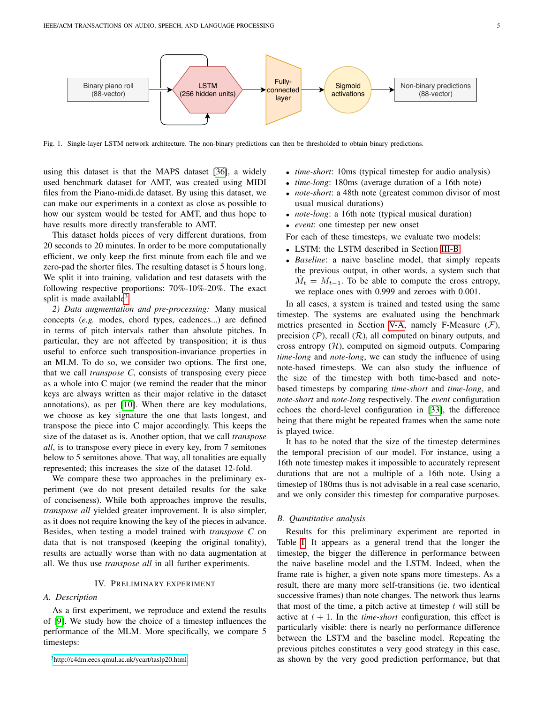

<span id="page-4-1"></span>Fig. 1. Single-layer LSTM network architecture. The non-binary predictions can then be thresholded to obtain binary predictions.

using this dataset is that the MAPS dataset [\[36\]](#page-13-34), a widely used benchmark dataset for AMT, was created using MIDI files from the Piano-midi.de dataset. By using this dataset, we can make our experiments in a context as close as possible to how our system would be tested for AMT, and thus hope to have results more directly transferable to AMT.

This dataset holds pieces of very different durations, from 20 seconds to 20 minutes. In order to be more computationally efficient, we only keep the first minute from each file and we zero-pad the shorter files. The resulting dataset is 5 hours long. We split it into training, validation and test datasets with the following respective proportions: 70%-10%-20%. The exact split is made available<sup>[3](#page-4-2)</sup>.

*2) Data augmentation and pre-processing:* Many musical concepts (*e.g.* modes, chord types, cadences...) are defined in terms of pitch intervals rather than absolute pitches. In particular, they are not affected by transposition; it is thus useful to enforce such transposition-invariance properties in an MLM. To do so, we consider two options. The first one, that we call *transpose C*, consists of transposing every piece as a whole into C major (we remind the reader that the minor keys are always written as their major relative in the dataset annotations), as per [\[10\]](#page-13-9). When there are key modulations, we choose as key signature the one that lasts longest, and transpose the piece into C major accordingly. This keeps the size of the dataset as is. Another option, that we call *transpose all*, is to transpose every piece in every key, from 7 semitones below to 5 semitones above. That way, all tonalities are equally represented; this increases the size of the dataset 12-fold.

We compare these two approaches in the preliminary experiment (we do not present detailed results for the sake of conciseness). While both approaches improve the results, *transpose all* yielded greater improvement. It is also simpler, as it does not require knowing the key of the pieces in advance. Besides, when testing a model trained with *transpose C* on data that is not transposed (keeping the original tonality), results are actually worse than with no data augmentation at all. We thus use *transpose all* in all further experiments.

## IV. PRELIMINARY EXPERIMENT

## <span id="page-4-0"></span>*A. Description*

<span id="page-4-2"></span>As a first experiment, we reproduce and extend the results of [\[9\]](#page-13-8). We study how the choice of a timestep influences the performance of the MLM. More specifically, we compare 5 timesteps:

- *time-short*: 10ms (typical timestep for audio analysis)
- *time-long*: 180ms (average duration of a 16th note)
- *note-short*: a 48th note (greatest common divisor of most usual musical durations)
- *note-long*: a 16th note (typical musical duration)
- *event*: one timestep per new onset

For each of these timesteps, we evaluate two models:

- LSTM: the LSTM described in Section [III-B.](#page-3-4)
- *Baseline*: a naive baseline model, that simply repeats the previous output, in other words, a system such that  $\hat{M}_t = M_{t-1}$ . To be able to compute the cross entropy, we replace ones with 0.999 and zeroes with 0.001.

In all cases, a system is trained and tested using the same timestep. The systems are evaluated using the benchmark metrics presented in Section [V-A,](#page-5-1) namely F-Measure  $(F)$ , precision  $(\mathcal{P})$ , recall  $(\mathcal{R})$ , all computed on binary outputs, and cross entropy  $(H)$ , computed on sigmoid outputs. Comparing *time-long* and *note-long*, we can study the influence of using note-based timesteps. We can also study the influence of the size of the timestep with both time-based and notebased timesteps by comparing *time-short* and *time-long*, and *note-short* and *note-long* respectively. The *event* configuration echoes the chord-level configuration in [\[33\]](#page-13-31), the difference being that there might be repeated frames when the same note is played twice.

It has to be noted that the size of the timestep determines the temporal precision of our model. For instance, using a 16th note timestep makes it impossible to accurately represent durations that are not a multiple of a 16th note. Using a timestep of 180ms thus is not advisable in a real case scenario, and we only consider this timestep for comparative purposes.

#### *B. Quantitative analysis*

Results for this preliminary experiment are reported in Table [I.](#page-5-2) It appears as a general trend that the longer the timestep, the bigger the difference in performance between the naive baseline model and the LSTM. Indeed, when the frame rate is higher, a given note spans more timesteps. As a result, there are many more self-transitions (ie. two identical successive frames) than note changes. The network thus learns that most of the time, a pitch active at timestep  $t$  will still be active at  $t + 1$ . In the *time-short* configuration, this effect is particularly visible: there is nearly no performance difference between the LSTM and the baseline model. Repeating the previous pitches constitutes a very good strategy in this case, as shown by the very good prediction performance, but that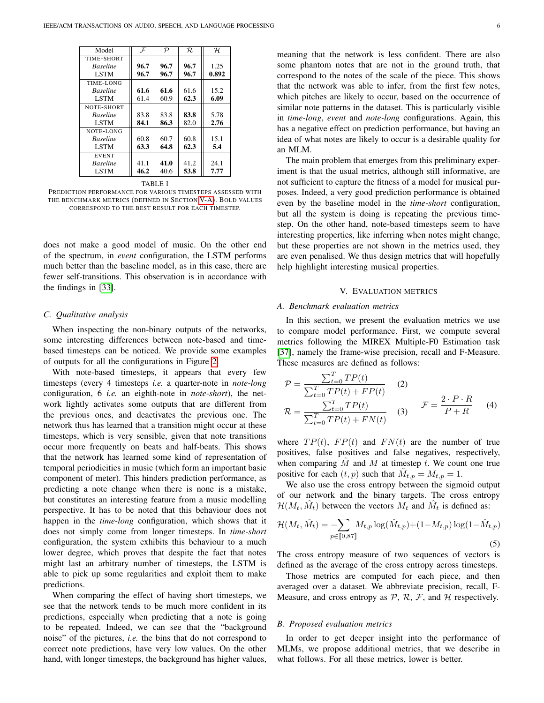| Model           | $\mathcal F$ | $\mathcal{P}$ | R.   | $\mathcal{H}_{\cdot}$ |
|-----------------|--------------|---------------|------|-----------------------|
| TIME-SHORT      |              |               |      |                       |
| <b>Baseline</b> | 96.7         | 96.7          | 96.7 | 1.25                  |
| <b>LSTM</b>     | 96.7         | 96.7          | 96.7 | 0.892                 |
| TIME-LONG       |              |               |      |                       |
| <b>Baseline</b> | 61.6         | 61.6          | 61.6 | 15.2                  |
| <b>LSTM</b>     | 61.4         | 60.9          | 62.3 | 6.09                  |
| NOTE-SHORT      |              |               |      |                       |
| <b>Baseline</b> | 83.8         | 83.8          | 83.8 | 5.78                  |
| <b>LSTM</b>     | 84.1         | 86.3          | 82.0 | 2.76                  |
| NOTE-LONG       |              |               |      |                       |
| <b>Baseline</b> | 60.8         | 60.7          | 60.8 | 15.1                  |
| <b>LSTM</b>     | 63.3         | 64.8          | 62.3 | 5.4                   |
| <b>EVENT</b>    |              |               |      |                       |
| <b>Baseline</b> | 41.1         | 41.0          | 41.2 | 24.1                  |
| <b>LSTM</b>     | 46.2         | 40.6          | 53.8 | 7.77                  |

TABLE I

<span id="page-5-2"></span>PREDICTION PERFORMANCE FOR VARIOUS TIMESTEPS ASSESSED WITH THE BENCHMARK METRICS (DEFINED IN SECTION [V-A\)](#page-5-1). BOLD VALUES CORRESPOND TO THE BEST RESULT FOR EACH TIMESTEP.

does not make a good model of music. On the other end of the spectrum, in *event* configuration, the LSTM performs much better than the baseline model, as in this case, there are fewer self-transitions. This observation is in accordance with the findings in [\[33\]](#page-13-31).

#### <span id="page-5-3"></span>*C. Qualitative analysis*

When inspecting the non-binary outputs of the networks, some interesting differences between note-based and timebased timesteps can be noticed. We provide some examples of outputs for all the configurations in Figure [2.](#page-6-0)

With note-based timesteps, it appears that every few timesteps (every 4 timesteps *i.e.* a quarter-note in *note-long* configuration, 6 *i.e.* an eighth-note in *note-short*), the network lightly activates some outputs that are different from the previous ones, and deactivates the previous one. The network thus has learned that a transition might occur at these timesteps, which is very sensible, given that note transitions occur more frequently on beats and half-beats. This shows that the network has learned some kind of representation of temporal periodicities in music (which form an important basic component of meter). This hinders prediction performance, as predicting a note change when there is none is a mistake, but constitutes an interesting feature from a music modelling perspective. It has to be noted that this behaviour does not happen in the *time-long* configuration, which shows that it does not simply come from longer timesteps. In *time-short* configuration, the system exhibits this behaviour to a much lower degree, which proves that despite the fact that notes might last an arbitrary number of timesteps, the LSTM is able to pick up some regularities and exploit them to make predictions.

When comparing the effect of having short timesteps, we see that the network tends to be much more confident in its predictions, especially when predicting that a note is going to be repeated. Indeed, we can see that the "background noise" of the pictures, *i.e.* the bins that do not correspond to correct note predictions, have very low values. On the other hand, with longer timesteps, the background has higher values, meaning that the network is less confident. There are also some phantom notes that are not in the ground truth, that correspond to the notes of the scale of the piece. This shows that the network was able to infer, from the first few notes, which pitches are likely to occur, based on the occurrence of similar note patterns in the dataset. This is particularly visible in *time-long*, *event* and *note-long* configurations. Again, this has a negative effect on prediction performance, but having an idea of what notes are likely to occur is a desirable quality for an MLM.

The main problem that emerges from this preliminary experiment is that the usual metrics, although still informative, are not sufficient to capture the fitness of a model for musical purposes. Indeed, a very good prediction performance is obtained even by the baseline model in the *time-short* configuration, but all the system is doing is repeating the previous timestep. On the other hand, note-based timesteps seem to have interesting properties, like inferring when notes might change, but these properties are not shown in the metrics used, they are even penalised. We thus design metrics that will hopefully help highlight interesting musical properties.

#### V. EVALUATION METRICS

## <span id="page-5-1"></span><span id="page-5-0"></span>*A. Benchmark evaluation metrics*

In this section, we present the evaluation metrics we use to compare model performance. First, we compute several metrics following the MIREX Multiple-F0 Estimation task [\[37\]](#page-13-35), namely the frame-wise precision, recall and F-Measure. These measures are defined as follows:

$$
\mathcal{P} = \frac{\sum_{t=0}^{T} TP(t)}{\sum_{t=0}^{T} TP(t) + FP(t)} \quad (2)
$$
\n
$$
\mathcal{R} = \frac{\sum_{t=0}^{T} TP(t)}{\sum_{t=0}^{T} TP(t) + FN(t)} \quad (3)
$$
\n
$$
\mathcal{F} = \frac{2 \cdot P \cdot R}{P + R} \quad (4)
$$

where  $TP(t)$ ,  $FP(t)$  and  $FN(t)$  are the number of true positives, false positives and false negatives, respectively, when comparing  $M$  and  $M$  at timestep  $t$ . We count one true positive for each  $(t, p)$  such that  $\tilde{M}_{t,p} = M_{t,p} = 1$ .

We also use the cross entropy between the sigmoid output of our network and the binary targets. The cross entropy  $\mathcal{H}(M_t, \hat{M}_t)$  between the vectors  $M_t$  and  $\hat{M}_t$  is defined as:

$$
\mathcal{H}(M_t, \hat{M}_t) = -\sum_{p \in [\![0,87]\!]} M_{t,p} \log(\hat{M}_{t,p}) + (1 - M_{t,p}) \log(1 - \hat{M}_{t,p})
$$
\n(5)

The cross entropy measure of two sequences of vectors is defined as the average of the cross entropy across timesteps.

Those metrics are computed for each piece, and then averaged over a dataset. We abbreviate precision, recall, F-Measure, and cross entropy as  $P$ ,  $R$ ,  $F$ , and  $H$  respectively.

#### *B. Proposed evaluation metrics*

In order to get deeper insight into the performance of MLMs, we propose additional metrics, that we describe in what follows. For all these metrics, lower is better.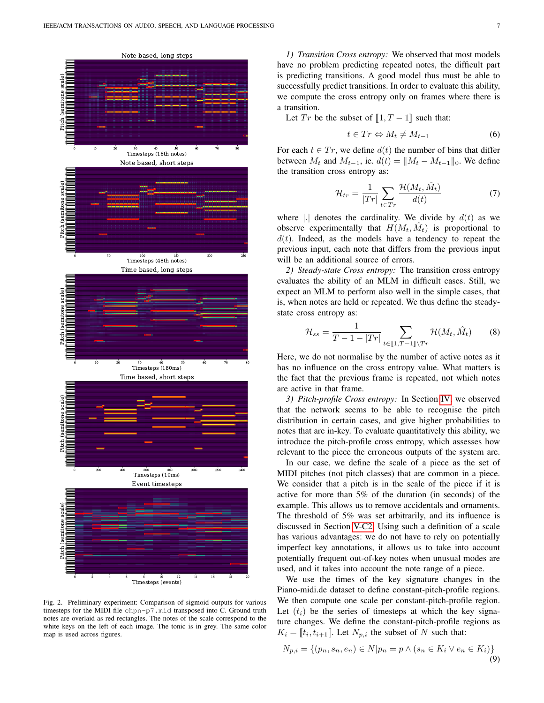

<span id="page-6-0"></span>Fig. 2. Preliminary experiment: Comparison of sigmoid outputs for various timesteps for the MIDI file chpn-p7.mid transposed into C. Ground truth notes are overlaid as red rectangles. The notes of the scale correspond to the white keys on the left of each image. The tonic is in grey. The same color map is used across figures.

*1) Transition Cross entropy:* We observed that most models have no problem predicting repeated notes, the difficult part is predicting transitions. A good model thus must be able to successfully predict transitions. In order to evaluate this ability, we compute the cross entropy only on frames where there is a transition.

Let  $Tr$  be the subset of  $\llbracket 1, T-1 \rrbracket$  such that:

$$
t \in Tr \Leftrightarrow M_t \neq M_{t-1} \tag{6}
$$

For each  $t \in Tr$ , we define  $d(t)$  the number of bins that differ between  $M_t$  and  $M_{t-1}$ , ie.  $d(t) = ||M_t - M_{t-1}||_0$ . We define the transition cross entropy as:

$$
\mathcal{H}_{tr} = \frac{1}{|Tr|} \sum_{t \in Tr} \frac{\mathcal{H}(M_t, \hat{M}_t)}{d(t)} \tag{7}
$$

where |.| denotes the cardinality. We divide by  $d(t)$  as we observe experimentally that  $H(M_t, \hat{M}_t)$  is proportional to  $d(t)$ . Indeed, as the models have a tendency to repeat the previous input, each note that differs from the previous input will be an additional source of errors.

<span id="page-6-1"></span>*2) Steady-state Cross entropy:* The transition cross entropy evaluates the ability of an MLM in difficult cases. Still, we expect an MLM to perform also well in the simple cases, that is, when notes are held or repeated. We thus define the steadystate cross entropy as:

$$
\mathcal{H}_{ss} = \frac{1}{T - 1 - |Tr|} \sum_{t \in [1, T - 1] \setminus Tr} \mathcal{H}(M_t, \hat{M}_t)
$$
(8)

Here, we do not normalise by the number of active notes as it has no influence on the cross entropy value. What matters is the fact that the previous frame is repeated, not which notes are active in that frame.

*3) Pitch-profile Cross entropy:* In Section [IV,](#page-4-0) we observed that the network seems to be able to recognise the pitch distribution in certain cases, and give higher probabilities to notes that are in-key. To evaluate quantitatively this ability, we introduce the pitch-profile cross entropy, which assesses how relevant to the piece the erroneous outputs of the system are.

In our case, we define the scale of a piece as the set of MIDI pitches (not pitch classes) that are common in a piece. We consider that a pitch is in the scale of the piece if it is active for more than 5% of the duration (in seconds) of the example. This allows us to remove accidentals and ornaments. The threshold of 5% was set arbitrarily, and its influence is discussed in Section [V-C2.](#page-7-0) Using such a definition of a scale has various advantages: we do not have to rely on potentially imperfect key annotations, it allows us to take into account potentially frequent out-of-key notes when unusual modes are used, and it takes into account the note range of a piece.

We use the times of the key signature changes in the Piano-midi.de dataset to define constant-pitch-profile regions. We then compute one scale per constant-pitch-profile region. Let  $(t_i)$  be the series of timesteps at which the key signature changes. We define the constant-pitch-profile regions as  $K_i = \llbracket t_i, t_{i+1} \rrbracket$ . Let  $N_{p,i}$  the subset of N such that:

$$
N_{p,i} = \{(p_n, s_n, e_n) \in N | p_n = p \land (s_n \in K_i \lor e_n \in K_i) \}
$$
\n(9)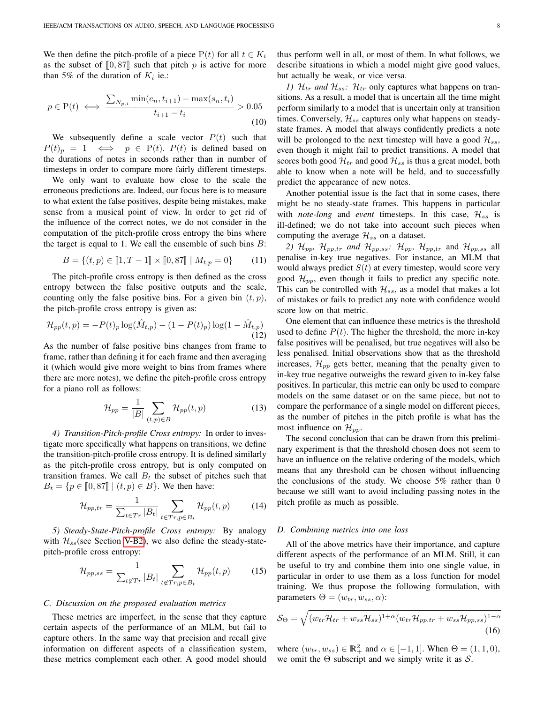We then define the pitch-profile of a piece  $P(t)$  for all  $t \in K_i$ as the subset of  $[0, 87]$  such that pitch p is active for more than 5% of the duration of  $K_i$  ie.:

$$
p \in \mathcal{P}(t) \iff \frac{\sum_{N_{p,i}} \min(e_n, t_{i+1}) - \max(s_n, t_i)}{t_{i+1} - t_i} > 0.05
$$
\n
$$
(10)
$$

We subsequently define a scale vector  $P(t)$  such that  $P(t)_p = 1 \iff p \in P(t)$ .  $P(t)$  is defined based on the durations of notes in seconds rather than in number of timesteps in order to compare more fairly different timesteps.

We only want to evaluate how close to the scale the erroneous predictions are. Indeed, our focus here is to measure to what extent the false positives, despite being mistakes, make sense from a musical point of view. In order to get rid of the influence of the correct notes, we do not consider in the computation of the pitch-profile cross entropy the bins where the target is equal to 1. We call the ensemble of such bins  $B$ :

$$
B = \{(t, p) \in [1, T - 1] \times [0, 87] \mid M_{t, p} = 0\}
$$
 (11)

The pitch-profile cross entropy is then defined as the cross entropy between the false positive outputs and the scale, counting only the false positive bins. For a given bin  $(t, p)$ , the pitch-profile cross entropy is given as:

$$
\mathcal{H}_{pp}(t,p) = -P(t)_p \log(\hat{M}_{t,p}) - (1 - P(t)_p) \log(1 - \hat{M}_{t,p})
$$
\n(12)

As the number of false positive bins changes from frame to frame, rather than defining it for each frame and then averaging it (which would give more weight to bins from frames where there are more notes), we define the pitch-profile cross entropy for a piano roll as follows:

$$
\mathcal{H}_{pp} = \frac{1}{|B|} \sum_{(t,p)\in B} \mathcal{H}_{pp}(t,p) \tag{13}
$$

*4) Transition-Pitch-profile Cross entropy:* In order to investigate more specifically what happens on transitions, we define the transition-pitch-profile cross entropy. It is defined similarly as the pitch-profile cross entropy, but is only computed on transition frames. We call  $B_t$  the subset of pitches such that  $B_t = \{p \in [0, 87] \mid (t, p) \in B\}$ . We then have:

$$
\mathcal{H}_{pp,tr} = \frac{1}{\sum_{t \in Tr} |B_t|} \sum_{t \in Tr, p \in B_t} \mathcal{H}_{pp}(t, p) \tag{14}
$$

*5) Steady-State-Pitch-profile Cross entropy:* By analogy with  $\mathcal{H}_{ss}$ (see Section [V-B2\)](#page-6-1), we also define the steady-statepitch-profile cross entropy:

$$
\mathcal{H}_{pp,ss} = \frac{1}{\sum_{t \notin Tr} |B_t|} \sum_{t \notin Tr, p \in B_t} \mathcal{H}_{pp}(t,p) \tag{15}
$$

### *C. Discussion on the proposed evaluation metrics*

These metrics are imperfect, in the sense that they capture certain aspects of the performance of an MLM, but fail to capture others. In the same way that precision and recall give information on different aspects of a classification system, these metrics complement each other. A good model should thus perform well in all, or most of them. In what follows, we describe situations in which a model might give good values, but actually be weak, or vice versa.

*1)*  $\mathcal{H}_{tr}$  *and*  $\mathcal{H}_{ss}$ :  $\mathcal{H}_{tr}$  only captures what happens on transitions. As a result, a model that is uncertain all the time might perform similarly to a model that is uncertain only at transition times. Conversely,  $\mathcal{H}_{ss}$  captures only what happens on steadystate frames. A model that always confidently predicts a note will be prolonged to the next timestep will have a good  $\mathcal{H}_{ss}$ , even though it might fail to predict transitions. A model that scores both good  $\mathcal{H}_{tr}$  and good  $\mathcal{H}_{ss}$  is thus a great model, both able to know when a note will be held, and to successfully predict the appearance of new notes.

Another potential issue is the fact that in some cases, there might be no steady-state frames. This happens in particular with *note-long* and *event* timesteps. In this case,  $\mathcal{H}_{ss}$  is ill-defined; we do not take into account such pieces when computing the average  $\mathcal{H}_{ss}$  on a dataset.

<span id="page-7-0"></span>*2)*  $\mathcal{H}_{pp}$ ,  $\mathcal{H}_{pp,tr}$  *and*  $\mathcal{H}_{pp,ss}$ *:*  $\mathcal{H}_{pp}$ ,  $\mathcal{H}_{pp,tr}$  and  $\mathcal{H}_{pp,ss}$  all penalise in-key true negatives. For instance, an MLM that would always predict  $S(t)$  at every timestep, would score very good  $\mathcal{H}_{pp}$ , even though it fails to predict any specific note. This can be controlled with  $\mathcal{H}_{ss}$ , as a model that makes a lot of mistakes or fails to predict any note with confidence would score low on that metric.

One element that can influence these metrics is the threshold used to define  $P(t)$ . The higher the threshold, the more in-key false positives will be penalised, but true negatives will also be less penalised. Initial observations show that as the threshold increases,  $\mathcal{H}_{pp}$  gets better, meaning that the penalty given to in-key true negative outweighs the reward given to in-key false positives. In particular, this metric can only be used to compare models on the same dataset or on the same piece, but not to compare the performance of a single model on different pieces, as the number of pitches in the pitch profile is what has the most influence on  $\mathcal{H}_{pp}$ .

The second conclusion that can be drawn from this preliminary experiment is that the threshold chosen does not seem to have an influence on the relative ordering of the models, which means that any threshold can be chosen without influencing the conclusions of the study. We choose  $5\%$  rather than 0 because we still want to avoid including passing notes in the pitch profile as much as possible.

#### *D. Combining metrics into one loss*

All of the above metrics have their importance, and capture different aspects of the performance of an MLM. Still, it can be useful to try and combine them into one single value, in particular in order to use them as a loss function for model training. We thus propose the following formulation, with parameters  $\Theta = (w_{tr}, w_{ss}, \alpha)$ :

$$
S_{\Theta} = \sqrt{(w_{tr}\mathcal{H}_{tr} + w_{ss}\mathcal{H}_{ss})^{1+\alpha}(w_{tr}\mathcal{H}_{pp,tr} + w_{ss}\mathcal{H}_{pp,ss})^{1-\alpha}}
$$
(16)

where  $(w_{tr}, w_{ss}) \in \mathbb{R}_+^2$  and  $\alpha \in [-1, 1]$ . When  $\Theta = (1, 1, 0)$ , we omit the  $\Theta$  subscript and we simply write it as  $S$ .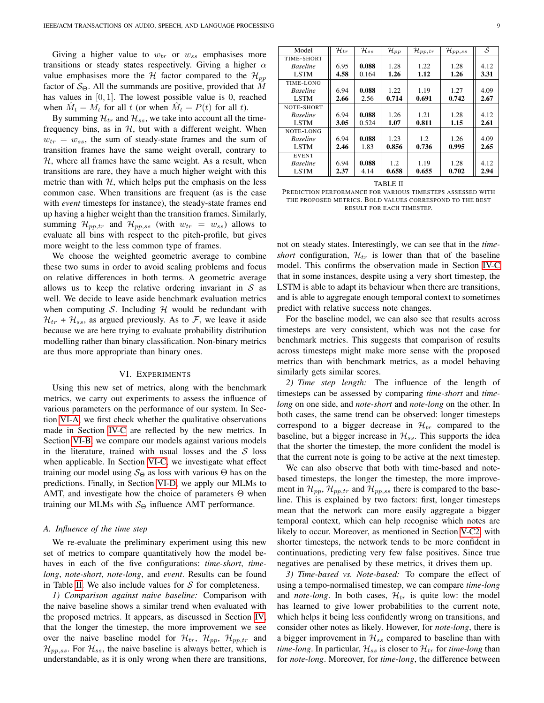Giving a higher value to  $w_{tr}$  or  $w_{ss}$  emphasises more transitions or steady states respectively. Giving a higher  $\alpha$ value emphasises more the H factor compared to the  $\mathcal{H}_{pp}$ factor of  $S_{\Theta}$ . All the summands are positive, provided that M has values in  $[0, 1]$ . The lowest possible value is 0, reached when  $\hat{M}_t = \hat{M}_t$  for all t (or when  $\hat{M}_t = P(t)$  for all t).

By summing  $\mathcal{H}_{tr}$  and  $\mathcal{H}_{ss}$ , we take into account all the timefrequency bins, as in  $H$ , but with a different weight. When  $w_{tr} = w_{ss}$ , the sum of steady-state frames and the sum of transition frames have the same weight overall, contrary to  $H$ , where all frames have the same weight. As a result, when transitions are rare, they have a much higher weight with this metric than with  $H$ , which helps put the emphasis on the less common case. When transitions are frequent (as is the case with *event* timesteps for instance), the steady-state frames end up having a higher weight than the transition frames. Similarly, summing  $\mathcal{H}_{pp,tr}$  and  $\mathcal{H}_{pp,ss}$  (with  $w_{tr} = w_{ss}$ ) allows to evaluate all bins with respect to the pitch-profile, but gives more weight to the less common type of frames.

We choose the weighted geometric average to combine these two sums in order to avoid scaling problems and focus on relative differences in both terms. A geometric average allows us to keep the relative ordering invariant in  $S$  as well. We decide to leave aside benchmark evaluation metrics when computing S. Including  $H$  would be redundant with  $\mathcal{H}_{tr}$  +  $\mathcal{H}_{ss}$ , as argued previously. As to  $\mathcal{F}$ , we leave it aside because we are here trying to evaluate probability distribution modelling rather than binary classification. Non-binary metrics are thus more appropriate than binary ones.

## VI. EXPERIMENTS

<span id="page-8-0"></span>Using this new set of metrics, along with the benchmark metrics, we carry out experiments to assess the influence of various parameters on the performance of our system. In Section [VI-A,](#page-8-1) we first check whether the qualitative observations made in Section [IV-C](#page-5-3) are reflected by the new metrics. In Section [VI-B,](#page-9-0) we compare our models against various models in the literature, trained with usual losses and the  $S$  loss when applicable. In Section [VI-C,](#page-10-0) we investigate what effect training our model using  $S_{\Theta}$  as loss with various  $\Theta$  has on the predictions. Finally, in Section [VI-D,](#page-10-1) we apply our MLMs to AMT, and investigate how the choice of parameters  $\Theta$  when training our MLMs with  $S_{\Theta}$  influence AMT performance.

#### <span id="page-8-1"></span>*A. Influence of the time step*

We re-evaluate the preliminary experiment using this new set of metrics to compare quantitatively how the model behaves in each of the five configurations: *time-short*, *timelong*, *note-short*, *note-long*, and *event*. Results can be found in Table [II.](#page-8-2) We also include values for  $S$  for completeness.

*1) Comparison against naive baseline:* Comparison with the naive baseline shows a similar trend when evaluated with the proposed metrics. It appears, as discussed in Section [IV,](#page-4-0) that the longer the timestep, the more improvement we see over the naive baseline model for  $\mathcal{H}_{tr}$ ,  $\mathcal{H}_{pp}$ ,  $\mathcal{H}_{pp,tr}$  and  $\mathcal{H}_{pp,ss}$ . For  $\mathcal{H}_{ss}$ , the naive baseline is always better, which is understandable, as it is only wrong when there are transitions,

| Model           | $\mathcal{H}_{tr}$ | $\mathcal{H}_{ss}$ | $\mathcal{H}_{pp}$ | $\mathcal{H}_{pp,tr}$ | $\mathcal{H}_{pp,ss}$ | S    |
|-----------------|--------------------|--------------------|--------------------|-----------------------|-----------------------|------|
| TIME-SHORT      |                    |                    |                    |                       |                       |      |
| <b>Baseline</b> | 6.95               | 0.088              | 1.28               | 1.22                  | 1.28                  | 4.12 |
| <b>LSTM</b>     | 4.58               | 0.164              | 1.26               | 1.12                  | 1.26                  | 3.31 |
| TIME-LONG       |                    |                    |                    |                       |                       |      |
| <b>Baseline</b> | 6.94               | 0.088              | 1.22               | 1.19                  | 1.27                  | 4.09 |
| <b>LSTM</b>     | 2.66               | 2.56               | 0.714              | 0.691                 | 0.742                 | 2.67 |
| NOTE-SHORT      |                    |                    |                    |                       |                       |      |
| <b>Baseline</b> | 6.94               | 0.088              | 1.26               | 1.21                  | 1.28                  | 4.12 |
| <b>LSTM</b>     | 3.05               | 0.524              | 1.07               | 0.811                 | 1.15                  | 2.61 |
| NOTE-LONG       |                    |                    |                    |                       |                       |      |
| <b>Baseline</b> | 6.94               | 0.088              | 1.23               | 1.2                   | 1.26                  | 4.09 |
| <b>LSTM</b>     | 2.46               | 1.83               | 0.856              | 0.736                 | 0.995                 | 2.65 |
| <b>EVENT</b>    |                    |                    |                    |                       |                       |      |
| <b>Baseline</b> | 6.94               | 0.088              | 1.2                | 1.19                  | 1.28                  | 4.12 |
| <b>LSTM</b>     | 2.37               | 4.14               | 0.658              | 0.655                 | 0.702                 | 2.94 |

TABLE II

<span id="page-8-2"></span>PREDICTION PERFORMANCE FOR VARIOUS TIMESTEPS ASSESSED WITH THE PROPOSED METRICS. BOLD VALUES CORRESPOND TO THE BEST RESULT FOR EACH TIMESTEP.

not on steady states. Interestingly, we can see that in the *timeshort* configuration,  $\mathcal{H}_{tr}$  is lower than that of the baseline model. This confirms the observation made in Section [IV-C](#page-5-3) that in some instances, despite using a very short timestep, the LSTM is able to adapt its behaviour when there are transitions, and is able to aggregate enough temporal context to sometimes predict with relative success note changes.

For the baseline model, we can also see that results across timesteps are very consistent, which was not the case for benchmark metrics. This suggests that comparison of results across timesteps might make more sense with the proposed metrics than with benchmark metrics, as a model behaving similarly gets similar scores.

*2) Time step length:* The influence of the length of timesteps can be assessed by comparing *time-short* and *timelong* on one side, and *note-short* and *note-long* on the other. In both cases, the same trend can be observed: longer timesteps correspond to a bigger decrease in  $\mathcal{H}_{tr}$  compared to the baseline, but a bigger increase in  $\mathcal{H}_{ss}$ . This supports the idea that the shorter the timestep, the more confident the model is that the current note is going to be active at the next timestep.

We can also observe that both with time-based and notebased timesteps, the longer the timestep, the more improvement in  $\mathcal{H}_{pp}$ ,  $\mathcal{H}_{pp,tr}$  and  $\mathcal{H}_{pp,ss}$  there is compared to the baseline. This is explained by two factors: first, longer timesteps mean that the network can more easily aggregate a bigger temporal context, which can help recognise which notes are likely to occur. Moreover, as mentioned in Section [V-C2,](#page-7-0) with shorter timesteps, the network tends to be more confident in continuations, predicting very few false positives. Since true negatives are penalised by these metrics, it drives them up.

*3) Time-based vs. Note-based:* To compare the effect of using a tempo-normalised timestep, we can compare *time-long* and *note-long*. In both cases,  $\mathcal{H}_{tr}$  is quite low: the model has learned to give lower probabilities to the current note, which helps it being less confidently wrong on transitions, and consider other notes as likely. However, for *note-long*, there is a bigger improvement in  $\mathcal{H}_{ss}$  compared to baseline than with *time-long*. In particular,  $\mathcal{H}_{ss}$  is closer to  $\mathcal{H}_{tr}$  for *time-long* than for *note-long*. Moreover, for *time-long*, the difference between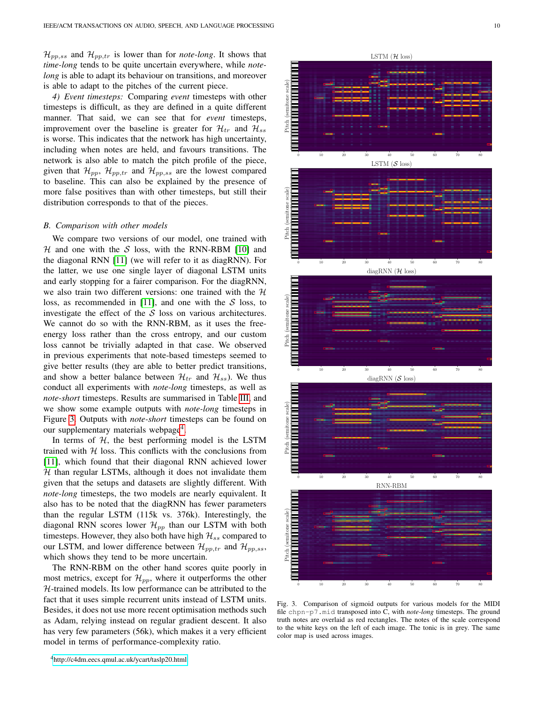$\mathcal{H}_{pp,ss}$  and  $\mathcal{H}_{pp,tr}$  is lower than for *note-long*. It shows that *time-long* tends to be quite uncertain everywhere, while *notelong* is able to adapt its behaviour on transitions, and moreover is able to adapt to the pitches of the current piece.

*4) Event timesteps:* Comparing *event* timesteps with other timesteps is difficult, as they are defined in a quite different manner. That said, we can see that for *event* timesteps, improvement over the baseline is greater for  $\mathcal{H}_{tr}$  and  $\mathcal{H}_{ss}$ is worse. This indicates that the network has high uncertainty, including when notes are held, and favours transitions. The network is also able to match the pitch profile of the piece, given that  $\mathcal{H}_{pp}$ ,  $\mathcal{H}_{pp,tr}$  and  $\mathcal{H}_{pp,ss}$  are the lowest compared to baseline. This can also be explained by the presence of more false positives than with other timesteps, but still their distribution corresponds to that of the pieces.

## <span id="page-9-0"></span>*B. Comparison with other models*

We compare two versions of our model, one trained with  $H$  and one with the S loss, with the RNN-RBM [\[10\]](#page-13-9) and the diagonal RNN [\[11\]](#page-13-10) (we will refer to it as diagRNN). For the latter, we use one single layer of diagonal LSTM units and early stopping for a fairer comparison. For the diagRNN, we also train two different versions: one trained with the  $H$ loss, as recommended in [\[11\]](#page-13-10), and one with the  $S$  loss, to investigate the effect of the  $S$  loss on various architectures. We cannot do so with the RNN-RBM, as it uses the freeenergy loss rather than the cross entropy, and our custom loss cannot be trivially adapted in that case. We observed in previous experiments that note-based timesteps seemed to give better results (they are able to better predict transitions, and show a better balance between  $\mathcal{H}_{tr}$  and  $\mathcal{H}_{ss}$ ). We thus conduct all experiments with *note-long* timesteps, as well as *note-short* timesteps. Results are summarised in Table [III,](#page-10-2) and we show some example outputs with *note-long* timesteps in Figure [3.](#page-9-1) Outputs with *note-short* timesteps can be found on our supplementary materials webpage<sup>[4](#page-9-2)</sup>.

In terms of  $H$ , the best performing model is the LSTM trained with  $H$  loss. This conflicts with the conclusions from [\[11\]](#page-13-10), which found that their diagonal RNN achieved lower  $H$  than regular LSTMs, although it does not invalidate them given that the setups and datasets are slightly different. With *note-long* timesteps, the two models are nearly equivalent. It also has to be noted that the diagRNN has fewer parameters than the regular LSTM (115k vs. 376k). Interestingly, the diagonal RNN scores lower  $\mathcal{H}_{pp}$  than our LSTM with both timesteps. However, they also both have high  $\mathcal{H}_{ss}$  compared to our LSTM, and lower difference between  $\mathcal{H}_{pp,tr}$  and  $\mathcal{H}_{pp,ss}$ , which shows they tend to be more uncertain.

<span id="page-9-2"></span>The RNN-RBM on the other hand scores quite poorly in most metrics, except for  $\mathcal{H}_{pp}$ , where it outperforms the other H-trained models. Its low performance can be attributed to the fact that it uses simple recurrent units instead of LSTM units. Besides, it does not use more recent optimisation methods such as Adam, relying instead on regular gradient descent. It also has very few parameters (56k), which makes it a very efficient model in terms of performance-complexity ratio.



<span id="page-9-1"></span>Fig. 3. Comparison of sigmoid outputs for various models for the MIDI file chpn-p7.mid transposed into C, with *note-long* timesteps. The ground truth notes are overlaid as red rectangles. The notes of the scale correspond to the white keys on the left of each image. The tonic is in grey. The same color map is used across images.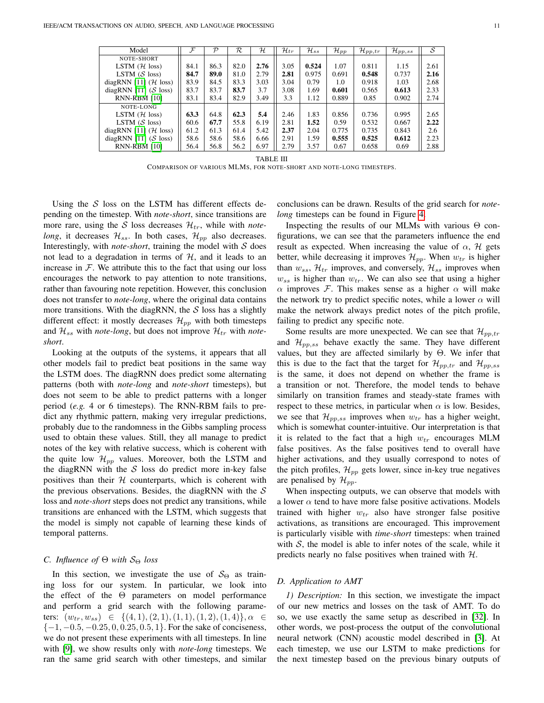| Model                           | $\mathcal{F}$ | $\mathcal{P}$ | R.   | $\mathcal H$ | $\mathcal{H}_{tr}$ | $\mathcal{H}_{ss}$ | $\mathcal{H}_{pp}$ | $\mathcal{H}_{pp,tr}$ | $\mathcal{H}_{pp,ss}$ | S    |
|---------------------------------|---------------|---------------|------|--------------|--------------------|--------------------|--------------------|-----------------------|-----------------------|------|
| NOTE-SHORT                      |               |               |      |              |                    |                    |                    |                       |                       |      |
| LSTM $(H \text{ loss})$         | 84.1          | 86.3          | 82.0 | 2.76         | 3.05               | 0.524              | 1.07               | 0.811                 | 1.15                  | 2.61 |
| LSTM $(S \text{ loss})$         | 84.7          | 89.0          | 81.0 | 2.79         | 2.81               | 0.975              | 0.691              | 0.548                 | 0.737                 | 2.16 |
| diagRNN [11] $(H \text{ loss})$ | 83.9          | 84.5          | 83.3 | 3.03         | 3.04               | 0.79               | 1.0                | 0.918                 | 1.03                  | 2.68 |
| diagRNN [11] ( $S$ loss)        | 83.7          | 83.7          | 83.7 | 3.7          | 3.08               | 1.69               | 0.601              | 0.565                 | 0.613                 | 2.33 |
| <b>RNN-RBM [10]</b>             | 83.1          | 83.4          | 82.9 | 3.49         | 3.3                | 1.12               | 0.889              | 0.85                  | 0.902                 | 2.74 |
| NOTE-LONG                       |               |               |      |              |                    |                    |                    |                       |                       |      |
| LSTM $(H \text{ loss})$         | 63.3          | 64.8          | 62.3 | 5.4          | 2.46               | 1.83               | 0.856              | 0.736                 | 0.995                 | 2.65 |
| LSTM $(S \text{ loss})$         | 60.6          | 67.7          | 55.8 | 6.19         | 2.81               | 1.52               | 0.59               | 0.532                 | 0.667                 | 2.22 |
| diagRNN [11] $(H \text{ loss})$ | 61.2          | 61.3          | 61.4 | 5.42         | 2.37               | 2.04               | 0.775              | 0.735                 | 0.843                 | 2.6  |
| diagRNN [11] ( $S$ loss)        | 58.6          | 58.6          | 58.6 | 6.66         | 2.91               | 1.59               | 0.555              | 0.525                 | 0.612                 | 2.23 |
| <b>RNN-RBM [10]</b>             | 56.4          | 56.8          | 56.2 | 6.97         | 2.79               | 3.57               | 0.67               | 0.658                 | 0.69                  | 2.88 |
|                                 |               |               |      |              |                    |                    |                    |                       |                       |      |

TABLE III

COMPARISON OF VARIOUS MLMS, FOR NOTE-SHORT AND NOTE-LONG TIMESTEPS.

<span id="page-10-2"></span>Using the  $S$  loss on the LSTM has different effects depending on the timestep. With *note-short*, since transitions are more rare, using the S loss decreases  $\mathcal{H}_{tr}$ , while with *notelong*, it decreases  $\mathcal{H}_{ss}$ . In both cases,  $\mathcal{H}_{nn}$  also decreases. Interestingly, with *note-short*, training the model with  $S$  does not lead to a degradation in terms of  $H$ , and it leads to an increase in  $F$ . We attribute this to the fact that using our loss encourages the network to pay attention to note transitions, rather than favouring note repetition. However, this conclusion does not transfer to *note-long*, where the original data contains more transitions. With the diagRNN, the  $S$  loss has a slightly different effect: it mostly decreases  $\mathcal{H}_{pp}$  with both timesteps and  $\mathcal{H}_{ss}$  with *note-long*, but does not improve  $\mathcal{H}_{tr}$  with *noteshort*.

Looking at the outputs of the systems, it appears that all other models fail to predict beat positions in the same way the LSTM does. The diagRNN does predict some alternating patterns (both with *note-long* and *note-short* timesteps), but does not seem to be able to predict patterns with a longer period (*e.g.* 4 or 6 timesteps). The RNN-RBM fails to predict any rhythmic pattern, making very irregular predictions, probably due to the randomness in the Gibbs sampling process used to obtain these values. Still, they all manage to predict notes of the key with relative success, which is coherent with the quite low  $\mathcal{H}_{pp}$  values. Moreover, both the LSTM and the diagRNN with the  $S$  loss do predict more in-key false positives than their  $H$  counterparts, which is coherent with the previous observations. Besides, the diagRNN with the  $S$ loss and *note-short* steps does not predict any transitions, while transitions are enhanced with the LSTM, which suggests that the model is simply not capable of learning these kinds of temporal patterns.

# <span id="page-10-0"></span>*C. Influence of*  $\Theta$  *with*  $S_{\Theta}$  *loss*

In this section, we investigate the use of  $S_{\Theta}$  as training loss for our system. In particular, we look into the effect of the Θ parameters on model performance and perform a grid search with the following parameters:  $(w_{tr}, w_{ss}) \in \{(4, 1), (2, 1), (1, 1), (1, 2), (1, 4)\}, \alpha \in$  $\{-1, -0.5, -0.25, 0, 0.25, 0.5, 1\}$ . For the sake of conciseness, we do not present these experiments with all timesteps. In line with [\[9\]](#page-13-8), we show results only with *note-long* timesteps. We ran the same grid search with other timesteps, and similar conclusions can be drawn. Results of the grid search for *notelong* timesteps can be found in Figure [4.](#page-11-0)

Inspecting the results of our MLMs with various  $\Theta$  configurations, we can see that the parameters influence the end result as expected. When increasing the value of  $\alpha$ ,  $\mathcal{H}$  gets better, while decreasing it improves  $\mathcal{H}_{pp}$ . When  $w_{tr}$  is higher than  $w_{ss}$ ,  $\mathcal{H}_{tr}$  improves, and conversely,  $\mathcal{H}_{ss}$  improves when  $w_{ss}$  is higher than  $w_{tr}$ . We can also see that using a higher  $\alpha$  improves F. This makes sense as a higher  $\alpha$  will make the network try to predict specific notes, while a lower  $\alpha$  will make the network always predict notes of the pitch profile, failing to predict any specific note.

Some results are more unexpected. We can see that  $\mathcal{H}_{pp,tr}$ and  $\mathcal{H}_{pp,ss}$  behave exactly the same. They have different values, but they are affected similarly by  $\Theta$ . We infer that this is due to the fact that the target for  $\mathcal{H}_{pp,tr}$  and  $\mathcal{H}_{pp,ss}$ is the same, it does not depend on whether the frame is a transition or not. Therefore, the model tends to behave similarly on transition frames and steady-state frames with respect to these metrics, in particular when  $\alpha$  is low. Besides, we see that  $\mathcal{H}_{pp,ss}$  improves when  $w_{tr}$  has a higher weight, which is somewhat counter-intuitive. Our interpretation is that it is related to the fact that a high  $w_{tr}$  encourages MLM false positives. As the false positives tend to overall have higher activations, and they usually correspond to notes of the pitch profiles,  $\mathcal{H}_{pp}$  gets lower, since in-key true negatives are penalised by  $\mathcal{H}_{pp}$ .

When inspecting outputs, we can observe that models with a lower  $\alpha$  tend to have more false positive activations. Models trained with higher  $w_{tr}$  also have stronger false positive activations, as transitions are encouraged. This improvement is particularly visible with *time-short* timesteps: when trained with  $S$ , the model is able to infer notes of the scale, while it predicts nearly no false positives when trained with H.

# <span id="page-10-1"></span>*D. Application to AMT*

*1) Description:* In this section, we investigate the impact of our new metrics and losses on the task of AMT. To do so, we use exactly the same setup as described in [\[32\]](#page-13-30). In other words, we post-process the output of the convolutional neural network (CNN) acoustic model described in [\[3\]](#page-13-2). At each timestep, we use our LSTM to make predictions for the next timestep based on the previous binary outputs of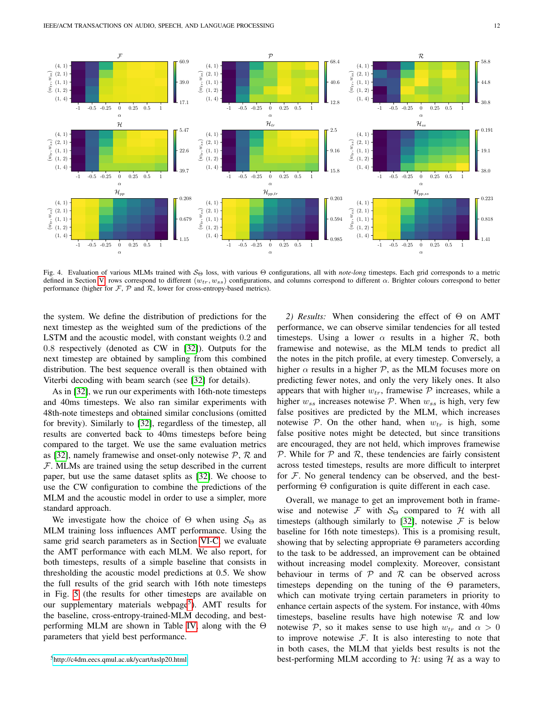

<span id="page-11-0"></span>Fig. 4. Evaluation of various MLMs trained with S<sup>Θ</sup> loss, with various Θ configurations, all with *note-long* timesteps. Each grid corresponds to a metric defined in Section [V,](#page-5-0) rows correspond to different  $(w_{tr}, w_{ss})$  configurations, and columns correspond to different  $\alpha$ . Brighter colours correspond to better performance (higher for  $F$ ,  $P$  and  $R$ , lower for cross-entropy-based metrics).

the system. We define the distribution of predictions for the next timestep as the weighted sum of the predictions of the LSTM and the acoustic model, with constant weights 0.2 and 0.8 respectively (denoted as CW in [\[32\]](#page-13-30)). Outputs for the next timestep are obtained by sampling from this combined distribution. The best sequence overall is then obtained with Viterbi decoding with beam search (see [\[32\]](#page-13-30) for details).

As in [\[32\]](#page-13-30), we run our experiments with 16th-note timesteps and 40ms timesteps. We also ran similar experiments with 48th-note timesteps and obtained similar conclusions (omitted for brevity). Similarly to [\[32\]](#page-13-30), regardless of the timestep, all results are converted back to 40ms timesteps before being compared to the target. We use the same evaluation metrics as [\[32\]](#page-13-30), namely framewise and onset-only notewise  $P$ ,  $R$  and F. MLMs are trained using the setup described in the current paper, but use the same dataset splits as [\[32\]](#page-13-30). We choose to use the CW configuration to combine the predictions of the MLM and the acoustic model in order to use a simpler, more standard approach.

We investigate how the choice of  $\Theta$  when using  $S_{\Theta}$  as MLM training loss influences AMT performance. Using the same grid search parameters as in Section [VI-C,](#page-10-0) we evaluate the AMT performance with each MLM. We also report, for both timesteps, results of a simple baseline that consists in thresholding the acoustic model predictions at 0.5. We show the full results of the grid search with 16th note timesteps in Fig. [5](#page-12-1) (the results for other timesteps are available on our supplementary materials webpage<sup>[5](#page-11-1)</sup>). AMT results for the baseline, cross-entropy-trained-MLM decoding, and bestperforming MLM are shown in Table [IV,](#page-12-2) along with the Θ parameters that yield best performance.

*2) Results:* When considering the effect of Θ on AMT performance, we can observe similar tendencies for all tested timesteps. Using a lower  $\alpha$  results in a higher  $\mathcal{R}$ , both framewise and notewise, as the MLM tends to predict all the notes in the pitch profile, at every timestep. Conversely, a higher  $\alpha$  results in a higher  $\mathcal{P}$ , as the MLM focuses more on predicting fewer notes, and only the very likely ones. It also appears that with higher  $w_{tr}$ , framewise  $P$  increases, while a higher  $w_{ss}$  increases notewise  $P$ . When  $w_{ss}$  is high, very few false positives are predicted by the MLM, which increases notewise  $P$ . On the other hand, when  $w_{tr}$  is high, some false positive notes might be detected, but since transitions are encouraged, they are not held, which improves framewise  $P$ . While for  $P$  and  $R$ , these tendencies are fairly consistent across tested timesteps, results are more difficult to interpret for  $F$ . No general tendency can be observed, and the bestperforming Θ configuration is quite different in each case.

Overall, we manage to get an improvement both in framewise and notewise F with  $S_{\Theta}$  compared to H with all timesteps (although similarly to [\[32\]](#page-13-30), notewise  $\mathcal F$  is below baseline for 16th note timesteps). This is a promising result, showing that by selecting appropriate  $\Theta$  parameters according to the task to be addressed, an improvement can be obtained without increasing model complexity. Moreover, consistant behaviour in terms of  $P$  and  $R$  can be observed across timesteps depending on the tuning of the  $\Theta$  parameters, which can motivate trying certain parameters in priority to enhance certain aspects of the system. For instance, with 40ms timesteps, baseline results have high notewise  $R$  and low notewise P, so it makes sense to use high  $w_{tr}$  and  $\alpha > 0$ to improve notewise  $F$ . It is also interesting to note that in both cases, the MLM that yields best results is not the best-performing MLM according to  $H$ : using  $H$  as a way to

<span id="page-11-1"></span><sup>5</sup><http://c4dm.eecs.qmul.ac.uk/ycart/taslp20.html>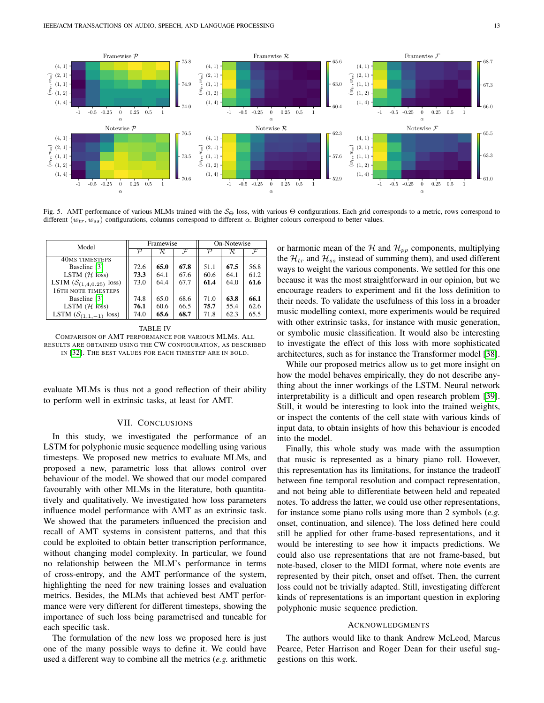

<span id="page-12-1"></span>Fig. 5. AMT performance of various MLMs trained with the  $S_{\Theta}$  loss, with various  $\Theta$  configurations. Each grid corresponds to a metric, rows correspond to different  $(w_{tr}, w_{ss})$  configurations, columns correspond to different  $\alpha$ . Brighter colours correspond to better values.

| Model                                    |               | Framewise |      | On-Notewise |      |      |  |
|------------------------------------------|---------------|-----------|------|-------------|------|------|--|
|                                          | $\mathcal{P}$ | R         |      | D           | R    |      |  |
| <b>40MS TIMESTEPS</b>                    |               |           |      |             |      |      |  |
| Baseline [3]                             | 72.6          | 65.0      | 67.8 | 51.1        | 67.5 | 56.8 |  |
| LSTM $(H \text{ loss})$                  | 73.3          | 64.1      | 67.6 | 60.6        | 64.1 | 61.2 |  |
| LSTM $(S_{(1,4,0.25)}$<br>loss)          | 73.0          | 64.4      | 67.7 | 61.4        | 64.0 | 61.6 |  |
| 16TH NOTE TIMESTEPS                      |               |           |      |             |      |      |  |
| Baseline [3]                             | 74.8          | 65.0      | 68.6 | 71.0        | 63.8 | 66.1 |  |
| LSTM $(H \text{ loss})$                  | 76.1          | 60.6      | 66.5 | 75.7        | 55.4 | 62.6 |  |
| LSTM $(\mathcal{S}_{(1,1,-1)})$<br>loss) | 74.0          | 65.6      | 68.7 | 71.8        | 62.3 | 65.5 |  |

<span id="page-12-2"></span>TABLE IV COMPARISON OF AMT PERFORMANCE FOR VARIOUS MLMS. ALL RESULTS ARE OBTAINED USING THE CW CONFIGURATION, AS DESCRIBED IN [\[32\]](#page-13-30). THE BEST VALUES FOR EACH TIMESTEP ARE IN BOLD.

evaluate MLMs is thus not a good reflection of their ability to perform well in extrinsic tasks, at least for AMT.

## VII. CONCLUSIONS

<span id="page-12-0"></span>In this study, we investigated the performance of an LSTM for polyphonic music sequence modelling using various timesteps. We proposed new metrics to evaluate MLMs, and proposed a new, parametric loss that allows control over behaviour of the model. We showed that our model compared favourably with other MLMs in the literature, both quantitatively and qualitatively. We investigated how loss parameters influence model performance with AMT as an extrinsic task. We showed that the parameters influenced the precision and recall of AMT systems in consistent patterns, and that this could be exploited to obtain better transcription performance, without changing model complexity. In particular, we found no relationship between the MLM's performance in terms of cross-entropy, and the AMT performance of the system, highlighting the need for new training losses and evaluation metrics. Besides, the MLMs that achieved best AMT performance were very different for different timesteps, showing the importance of such loss being parametrised and tuneable for each specific task.

The formulation of the new loss we proposed here is just one of the many possible ways to define it. We could have used a different way to combine all the metrics (*e.g.* arithmetic or harmonic mean of the  $H$  and  $H_{pp}$  components, multiplying the  $\mathcal{H}_{tr}$  and  $\mathcal{H}_{ss}$  instead of summing them), and used different ways to weight the various components. We settled for this one because it was the most straightforward in our opinion, but we encourage readers to experiment and fit the loss definition to their needs. To validate the usefulness of this loss in a broader music modelling context, more experiments would be required with other extrinsic tasks, for instance with music generation, or symbolic music classification. It would also be interesting to investigate the effect of this loss with more sophisticated architectures, such as for instance the Transformer model [\[38\]](#page-13-36).

While our proposed metrics allow us to get more insight on how the model behaves empirically, they do not describe anything about the inner workings of the LSTM. Neural network interpretability is a difficult and open research problem [\[39\]](#page-13-37). Still, it would be interesting to look into the trained weights, or inspect the contents of the cell state with various kinds of input data, to obtain insights of how this behaviour is encoded into the model.

Finally, this whole study was made with the assumption that music is represented as a binary piano roll. However, this representation has its limitations, for instance the tradeoff between fine temporal resolution and compact representation, and not being able to differentiate between held and repeated notes. To address the latter, we could use other representations, for instance some piano rolls using more than 2 symbols (*e.g.* onset, continuation, and silence). The loss defined here could still be applied for other frame-based representations, and it would be interesting to see how it impacts predictions. We could also use representations that are not frame-based, but note-based, closer to the MIDI format, where note events are represented by their pitch, onset and offset. Then, the current loss could not be trivially adapted. Still, investigating different kinds of representations is an important question in exploring polyphonic music sequence prediction.

#### ACKNOWLEDGMENTS

The authors would like to thank Andrew McLeod, Marcus Pearce, Peter Harrison and Roger Dean for their useful suggestions on this work.